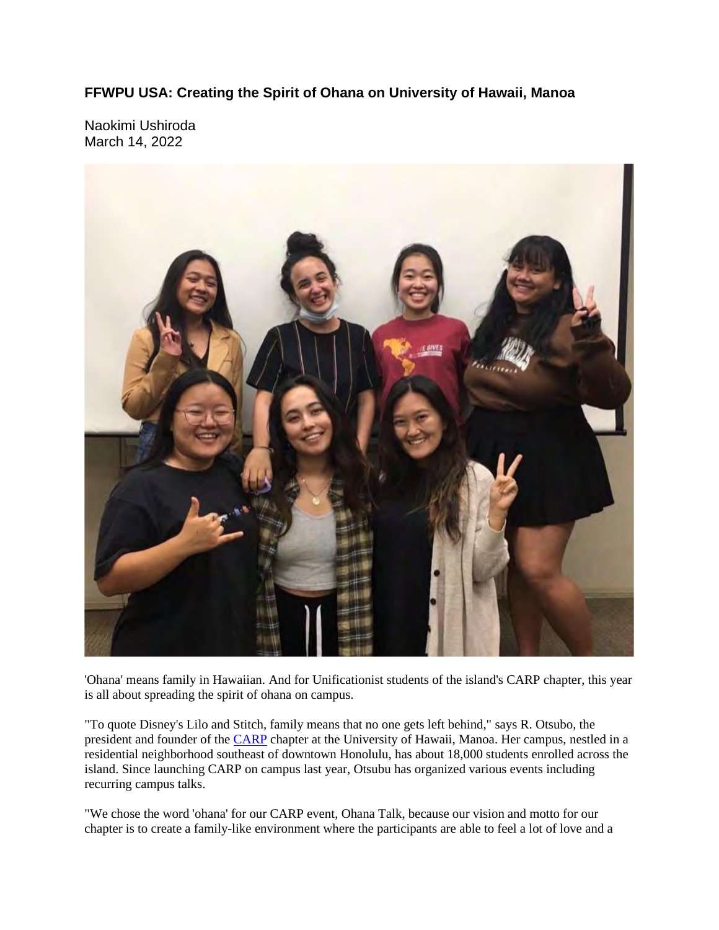**FFWPU USA: Creating the Spirit of Ohana on University of Hawaii, Manoa**

Naokimi Ushiroda March 14, 2022



'Ohana' means family in Hawaiian. And for Unificationist students of the island's CARP chapter, this year is all about spreading the spirit of ohana on campus.

"To quote Disney's Lilo and Stitch, family means that no one gets left behind," says R. Otsubo, the president and founder of the CARP chapter at the University of Hawaii, Manoa. Her campus, nestled in a residential neighborhood southeast of downtown Honolulu, has about 18,000 students enrolled across the island. Since launching CARP on campus last year, Otsubu has organized various events including recurring campus talks.

"We chose the word 'ohana' for our CARP event, Ohana Talk, because our vision and motto for our chapter is to create a family-like environment where the participants are able to feel a lot of love and a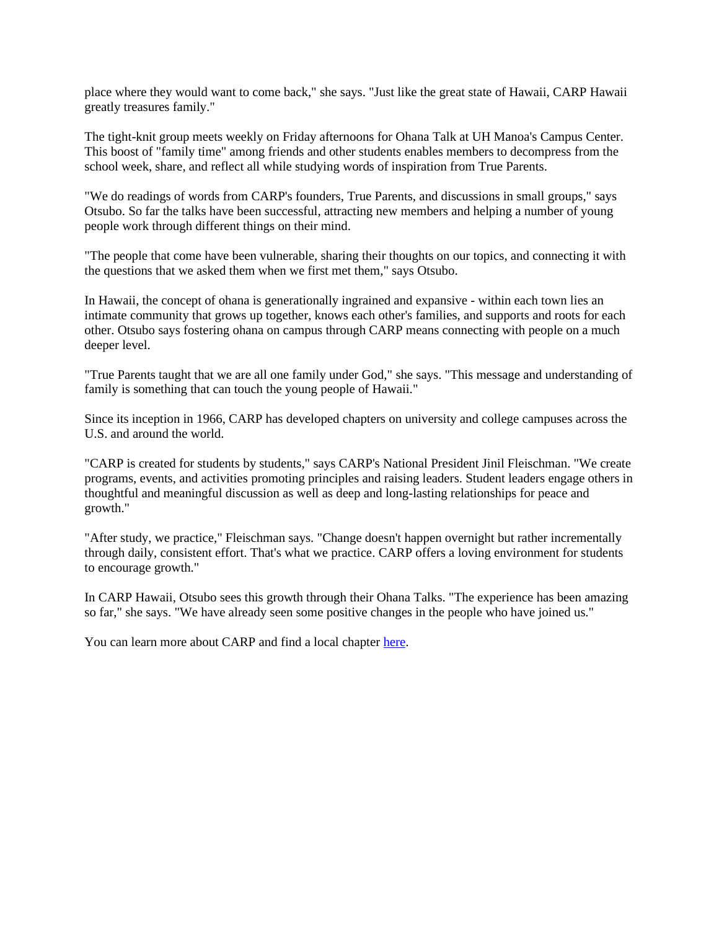place where they would want to come back," she says. "Just like the great state of Hawaii, CARP Hawaii greatly treasures family."

The tight-knit group meets weekly on Friday afternoons for Ohana Talk at UH Manoa's Campus Center. This boost of "family time" among friends and other students enables members to decompress from the school week, share, and reflect all while studying words of inspiration from True Parents.

"We do readings of words from CARP's founders, True Parents, and discussions in small groups," says Otsubo. So far the talks have been successful, attracting new members and helping a number of young people work through different things on their mind.

"The people that come have been vulnerable, sharing their thoughts on our topics, and connecting it with the questions that we asked them when we first met them," says Otsubo.

In Hawaii, the concept of ohana is generationally ingrained and expansive - within each town lies an intimate community that grows up together, knows each other's families, and supports and roots for each other. Otsubo says fostering ohana on campus through CARP means connecting with people on a much deeper level.

"True Parents taught that we are all one family under God," she says. "This message and understanding of family is something that can touch the young people of Hawaii."

Since its inception in 1966, CARP has developed chapters on university and college campuses across the U.S. and around the world.

"CARP is created for students by students," says CARP's National President Jinil Fleischman. "We create programs, events, and activities promoting principles and raising leaders. Student leaders engage others in thoughtful and meaningful discussion as well as deep and long-lasting relationships for peace and growth."

"After study, we practice," Fleischman says. "Change doesn't happen overnight but rather incrementally through daily, consistent effort. That's what we practice. CARP offers a loving environment for students to encourage growth."

In CARP Hawaii, Otsubo sees this growth through their Ohana Talks. "The experience has been amazing so far," she says. "We have already seen some positive changes in the people who have joined us."

You can learn more about CARP and find a local chapter here.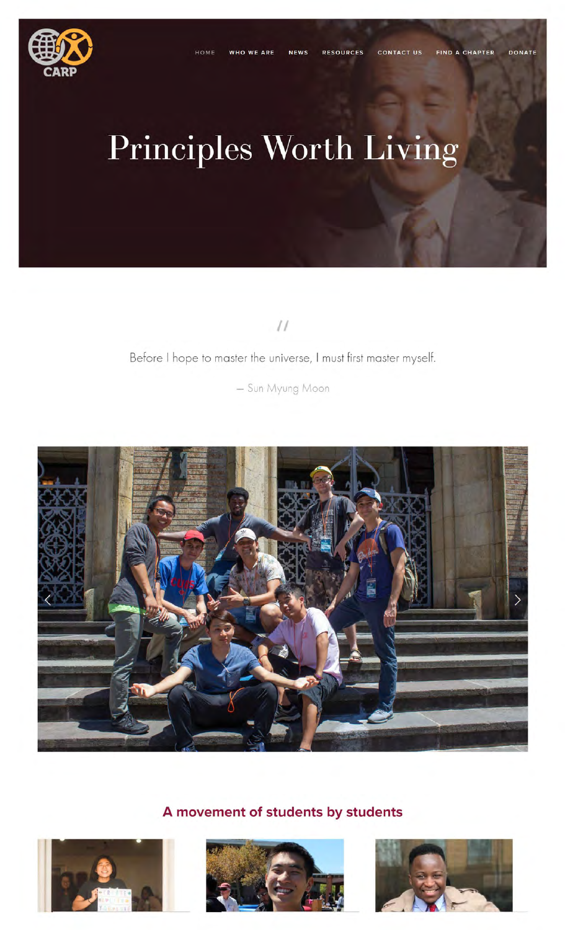

# **Principles Worth Living**

 $\frac{1}{2}$ 

#### Before I hope to master the universe, I must first master myself.

- Sun Myung Moon



**A movement of students by students** 





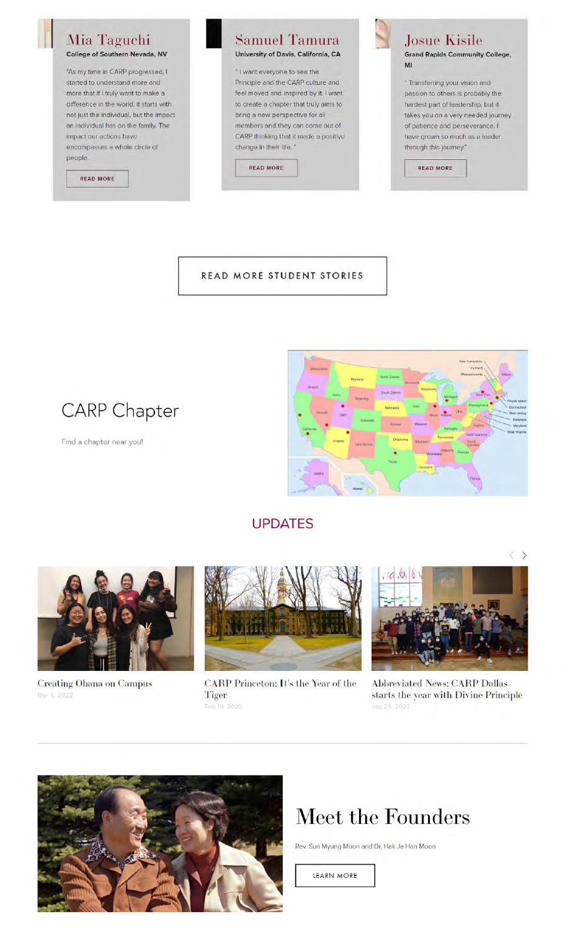#### Mia Taguchi **College of Southern Nevada, NV**

"As my time in CARP progressed, I started to understand more and more that if I truly want to make a difference in the world, it starts with not just the individual, but the impact an individual has on the family. The impact our actions have encompasses a whole circle of people.

**READ MORE** 



" I want everyone to see the Principle and the CARP culture and feel moved and inspired by it. I want to create a chapter that truly aims to bring a new perspective for all members and they can come out of CARP thinking that it made a positive change in their life."





**Josue Kisile Grand Rapids Community College, Ml** 

" Transferring your vision and passion to others is probably the hardest part of leadership, but it takes you on a very needed journey of patience and perseverance. I have grown so much as a leader through this journey."

READ MORE

**READ MORE STUDENT STORIES** 



Find a chapter near youl



#### UPDATES

Creating Ohana on Campus Mar 4, 2022



CARP Princeton: It's the Year of the Tiger Feb 19, 2022



 $\langle \rangle$ 

Abbreviated News: CARP Dallas starts the year with Divine Principle Jan 23, 2022



## Meet the Founders

Rev. Sun Myung Moon and Dr. Hak Ja Han Moon

LEARN MORE